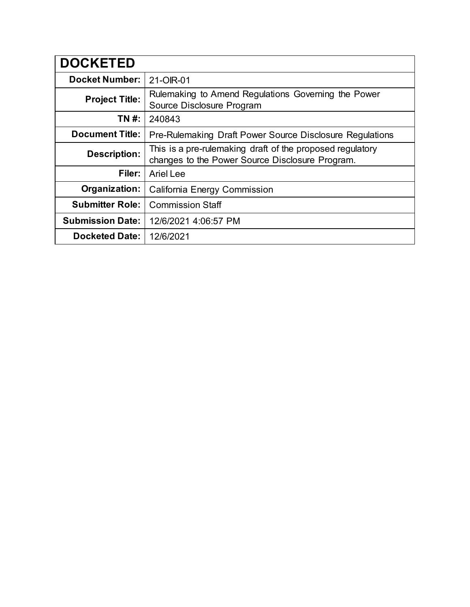| <b>DOCKETED</b>         |                                                                                                              |
|-------------------------|--------------------------------------------------------------------------------------------------------------|
| <b>Docket Number:</b>   | 21-OIR-01                                                                                                    |
| <b>Project Title:</b>   | Rulemaking to Amend Regulations Governing the Power<br>Source Disclosure Program                             |
| TN #:                   | 240843                                                                                                       |
| <b>Document Title:</b>  | <b>Pre-Rulemaking Draft Power Source Disclosure Regulations</b>                                              |
| <b>Description:</b>     | This is a pre-rulemaking draft of the proposed regulatory<br>changes to the Power Source Disclosure Program. |
| Filer:                  | <b>Ariel Lee</b>                                                                                             |
| Organization:           | California Energy Commission                                                                                 |
| <b>Submitter Role:</b>  | <b>Commission Staff</b>                                                                                      |
| <b>Submission Date:</b> | 12/6/2021 4:06:57 PM                                                                                         |
| <b>Docketed Date:</b>   | 12/6/2021                                                                                                    |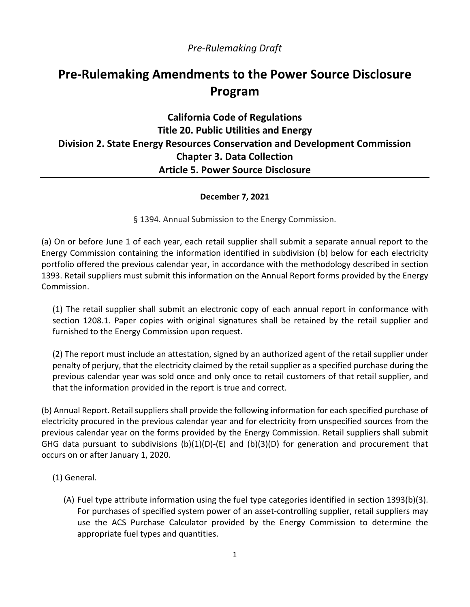### *Pre-Rulemaking Draft*

# **Pre-Rulemaking Amendments to the Power Source Disclosure Program**

## **California Code of Regulations Title 20. Public Utilities and Energy Division 2. State Energy Resources Conservation and Development Commission Chapter 3. Data Collection Article 5. Power Source Disclosure**

#### **December 7, 2021**

§ 1394. Annual Submission to the Energy Commission.

(a) On or before June 1 of each year, each retail supplier shall submit a separate annual report to the Energy Commission containing the information identified in subdivision (b) below for each electricity portfolio offered the previous calendar year, in accordance with the methodology described in section 1393. Retail suppliers must submit this information on the Annual Report forms provided by the Energy Commission.

(1) The retail supplier shall submit an electronic copy of each annual report in conformance with section 1208.1. Paper copies with original signatures shall be retained by the retail supplier and furnished to the Energy Commission upon request.

(2) The report must include an attestation, signed by an authorized agent of the retail supplier under penalty of perjury, that the electricity claimed by the retail supplier as a specified purchase during the previous calendar year was sold once and only once to retail customers of that retail supplier, and that the information provided in the report is true and correct.

(b) Annual Report. Retail suppliers shall provide the following information for each specified purchase of electricity procured in the previous calendar year and for electricity from unspecified sources from the previous calendar year on the forms provided by the Energy Commission. Retail suppliers shall submit GHG data pursuant to subdivisions  $(b)(1)(D)-(E)$  and  $(b)(3)(D)$  for generation and procurement that occurs on or after January 1, 2020.

- (1) General.
	- (A) Fuel type attribute information using the fuel type categories identified in section 1393(b)(3). For purchases of specified system power of an asset-controlling supplier, retail suppliers may use the ACS Purchase Calculator provided by the Energy Commission to determine the appropriate fuel types and quantities.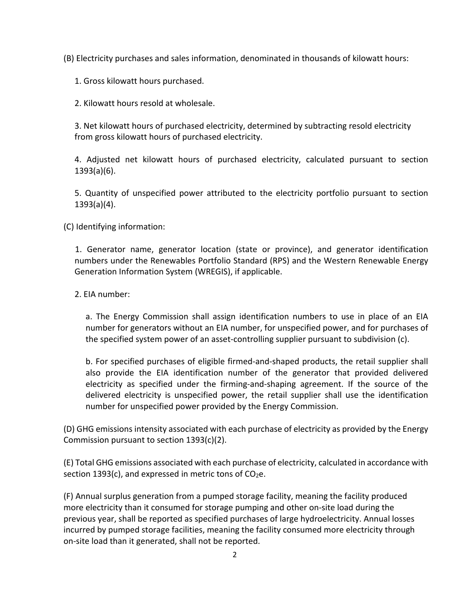(B) Electricity purchases and sales information, denominated in thousands of kilowatt hours:

1. Gross kilowatt hours purchased.

2. Kilowatt hours resold at wholesale.

3. Net kilowatt hours of purchased electricity, determined by subtracting resold electricity from gross kilowatt hours of purchased electricity.

4. Adjusted net kilowatt hours of purchased electricity, calculated pursuant to section 1393(a)(6).

5. Quantity of unspecified power attributed to the electricity portfolio pursuant to section 1393(a)(4).

(C) Identifying information:

1. Generator name, generator location (state or province), and generator identification numbers under the Renewables Portfolio Standard (RPS) and the Western Renewable Energy Generation Information System (WREGIS), if applicable.

2. EIA number:

a. The Energy Commission shall assign identification numbers to use in place of an EIA number for generators without an EIA number, for unspecified power, and for purchases of the specified system power of an asset-controlling supplier pursuant to subdivision (c).

b. For specified purchases of eligible firmed-and-shaped products, the retail supplier shall also provide the EIA identification number of the generator that provided delivered electricity as specified under the firming-and-shaping agreement. If the source of the delivered electricity is unspecified power, the retail supplier shall use the identification number for unspecified power provided by the Energy Commission.

(D) GHG emissions intensity associated with each purchase of electricity as provided by the Energy Commission pursuant to section 1393(c)(2).

(E) Total GHG emissions associated with each purchase of electricity, calculated in accordance with section 1393(c), and expressed in metric tons of  $CO<sub>2</sub>e$ .

(F) Annual surplus generation from a pumped storage facility, meaning the facility produced more electricity than it consumed for storage pumping and other on-site load during the previous year, shall be reported as specified purchases of large hydroelectricity. Annual losses incurred by pumped storage facilities, meaning the facility consumed more electricity through on-site load than it generated, shall not be reported.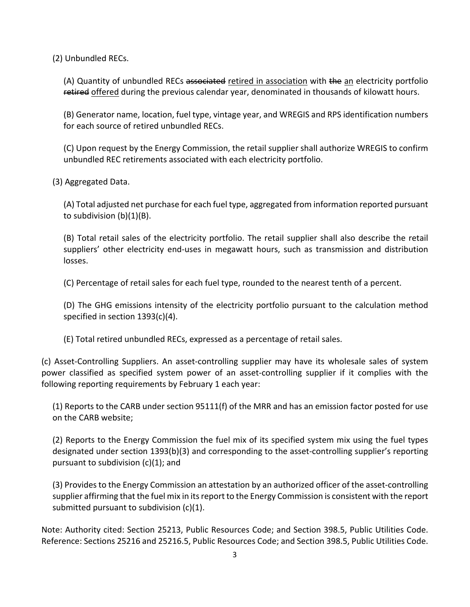(2) Unbundled RECs.

(A) Quantity of unbundled RECs associated retired in association with the an electricity portfolio retired offered during the previous calendar year, denominated in thousands of kilowatt hours.

(B) Generator name, location, fuel type, vintage year, and WREGIS and RPS identification numbers for each source of retired unbundled RECs.

(C) Upon request by the Energy Commission, the retail supplier shall authorize WREGIS to confirm unbundled REC retirements associated with each electricity portfolio.

(3) Aggregated Data.

(A) Total adjusted net purchase for each fuel type, aggregated from information reported pursuant to subdivision (b)(1)(B).

(B) Total retail sales of the electricity portfolio. The retail supplier shall also describe the retail suppliers' other electricity end-uses in megawatt hours, such as transmission and distribution losses.

(C) Percentage of retail sales for each fuel type, rounded to the nearest tenth of a percent.

(D) The GHG emissions intensity of the electricity portfolio pursuant to the calculation method specified in section 1393(c)(4).

(E) Total retired unbundled RECs, expressed as a percentage of retail sales.

(c) Asset-Controlling Suppliers. An asset-controlling supplier may have its wholesale sales of system power classified as specified system power of an asset-controlling supplier if it complies with the following reporting requirements by February 1 each year:

(1) Reports to the CARB under section 95111(f) of the MRR and has an emission factor posted for use on the CARB website;

(2) Reports to the Energy Commission the fuel mix of its specified system mix using the fuel types designated under section 1393(b)(3) and corresponding to the asset-controlling supplier's reporting pursuant to subdivision (c)(1); and

(3) Providesto the Energy Commission an attestation by an authorized officer of the asset-controlling supplier affirming that the fuel mix in its report to the Energy Commission is consistent with the report submitted pursuant to subdivision (c)(1).

Note: Authority cited: Section 25213, Public Resources Code; and Section 398.5, Public Utilities Code. Reference: Sections 25216 and 25216.5, Public Resources Code; and Section 398.5, Public Utilities Code.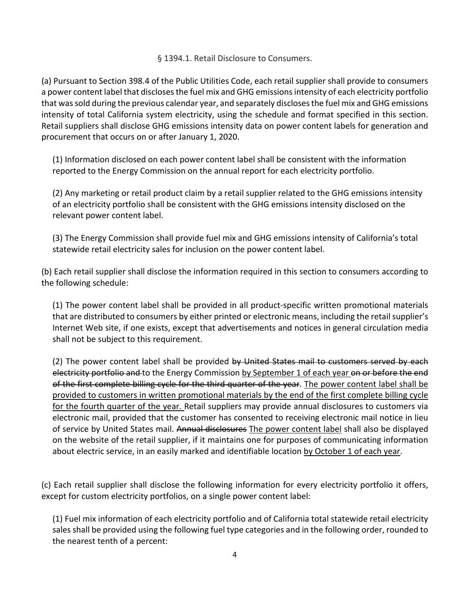#### § 1394.1. Retail Disclosure to Consumers.

(a) Pursuant to [Section 398.4 of the Public Utilities Code,](http://www.westlaw.com/Link/Document/FullText?findType=L&pubNum=1000221&cite=CAPUS398.4&originatingDoc=I0E1D4149545241E698C3431F24F562A1&refType=LQ&originationContext=document&vr=3.0&rs=cblt1.0&transitionType=DocumentItem&contextData=(sc.Default)) each retail supplier shall provide to consumers a power content label that discloses the fuel mix and GHG emissions intensity of each electricity portfolio that was sold during the previous calendar year, and separately discloses the fuel mix and GHG emissions intensity of total California system electricity, using the schedule and format specified in this section. Retail suppliers shall disclose GHG emissions intensity data on power content labels for generation and procurement that occurs on or after January 1, 2020.

(1) Information disclosed on each power content label shall be consistent with the information reported to the Energy Commission on the annual report for each electricity portfolio.

(2) Any marketing or retail product claim by a retail supplier related to the GHG emissions intensity of an electricity portfolio shall be consistent with the GHG emissions intensity disclosed on the relevant power content label.

(3) The Energy Commission shall provide fuel mix and GHG emissions intensity of California's total statewide retail electricity sales for inclusion on the power content label.

(b) Each retail supplier shall disclose the information required in this section to consumers according to the following schedule:

(1) The power content label shall be provided in all product-specific written promotional materials that are distributed to consumers by either printed or electronic means, including the retail supplier's Internet Web site, if one exists, except that advertisements and notices in general circulation media shall not be subject to this requirement.

(2) The power content label shall be provided by United States mail to customers served by each electricity portfolio and to the Energy Commission by September 1 of each year on or before the end of the first complete billing cycle for the third quarter of the year. The power content label shall be provided to customers in written promotional materials by the end of the first complete billing cycle for the fourth quarter of the year. Retail suppliers may provide annual disclosures to customers via electronic mail, provided that the customer has consented to receiving electronic mail notice in lieu of service by United States mail. Annual disclosures The power content label shall also be displayed on the website of the retail supplier, if it maintains one for purposes of communicating information about electric service, in an easily marked and identifiable location by October 1 of each year.

(c) Each retail supplier shall disclose the following information for every electricity portfolio it offers, except for custom electricity portfolios, on a single power content label:

(1) Fuel mix information of each electricity portfolio and of California total statewide retail electricity sales shall be provided using the following fuel type categories and in the following order, rounded to the nearest tenth of a percent: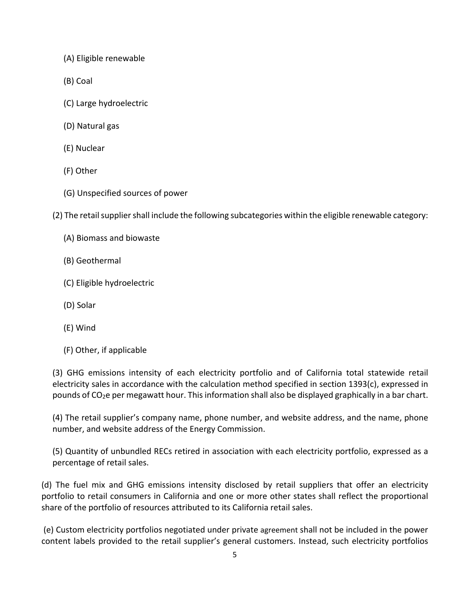- (A) Eligible renewable
- (B) Coal
- (C) Large hydroelectric
- (D) Natural gas
- (E) Nuclear
- (F) Other
- (G) Unspecified sources of power

(2) The retail supplier shall include the following subcategories within the eligible renewable category:

- (A) Biomass and biowaste
- (B) Geothermal
- (C) Eligible hydroelectric
- (D) Solar
- (E) Wind
- (F) Other, if applicable

(3) GHG emissions intensity of each electricity portfolio and of California total statewide retail electricity sales in accordance with the calculation method specified in section 1393(c), expressed in pounds of  $CO<sub>2</sub>e$  per megawatt hour. This information shall also be displayed graphically in a bar chart.

(4) The retail supplier's company name, phone number, and website address, and the name, phone number, and website address of the Energy Commission.

(5) Quantity of unbundled RECs retired in association with each electricity portfolio, expressed as a percentage of retail sales.

(d) The fuel mix and GHG emissions intensity disclosed by retail suppliers that offer an electricity portfolio to retail consumers in California and one or more other states shall reflect the proportional share of the portfolio of resources attributed to its California retail sales.

(e) Custom electricity portfolios negotiated under private agreement shall not be included in the power content labels provided to the retail supplier's general customers. Instead, such electricity portfolios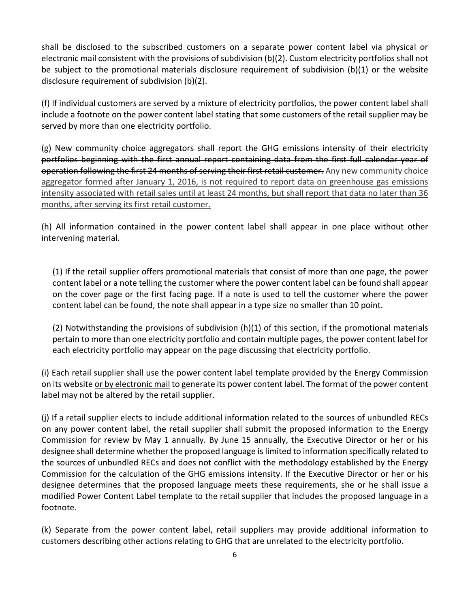shall be disclosed to the subscribed customers on a separate power content label via physical or electronic mail consistent with the provisions of subdivision (b)(2). Custom electricity portfoliosshall not be subject to the promotional materials disclosure requirement of subdivision (b)(1) or the website disclosure requirement of subdivision (b)(2).

(f) If individual customers are served by a mixture of electricity portfolios, the power content label shall include a footnote on the power content label stating that some customers of the retail supplier may be served by more than one electricity portfolio.

 $(g)$  New community choice aggregators shall report the GHG emissions intensity of their electricity portfolios beginning with the first annual report containing data from the first full calendar year of operation following the first 24 months of serving their first retail customer. Any new community choice aggregator formed after January 1, 2016, is not required to report data on greenhouse gas emissions intensity associated with retail sales until at least 24 months, but shall report that data no later than 36 months, after serving its first retail customer.

(h) All information contained in the power content label shall appear in one place without other intervening material.

(1) If the retail supplier offers promotional materials that consist of more than one page, the power content label or a note telling the customer where the power content label can be found shall appear on the cover page or the first facing page. If a note is used to tell the customer where the power content label can be found, the note shall appear in a type size no smaller than 10 point.

(2) Notwithstanding the provisions of subdivision (h)(1) of this section, if the promotional materials pertain to more than one electricity portfolio and contain multiple pages, the power content label for each electricity portfolio may appear on the page discussing that electricity portfolio.

(i) Each retail supplier shall use the power content label template provided by the Energy Commission on its website or by electronic mail to generate its power content label. The format of the power content label may not be altered by the retail supplier.

(j) If a retail supplier elects to include additional information related to the sources of unbundled RECs on any power content label, the retail supplier shall submit the proposed information to the Energy Commission for review by May 1 annually. By June 15 annually, the Executive Director or her or his designee shall determine whether the proposed language is limited to information specifically related to the sources of unbundled RECs and does not conflict with the methodology established by the Energy Commission for the calculation of the GHG emissions intensity. If the Executive Director or her or his designee determines that the proposed language meets these requirements, she or he shall issue a modified Power Content Label template to the retail supplier that includes the proposed language in a footnote.

(k) Separate from the power content label, retail suppliers may provide additional information to customers describing other actions relating to GHG that are unrelated to the electricity portfolio.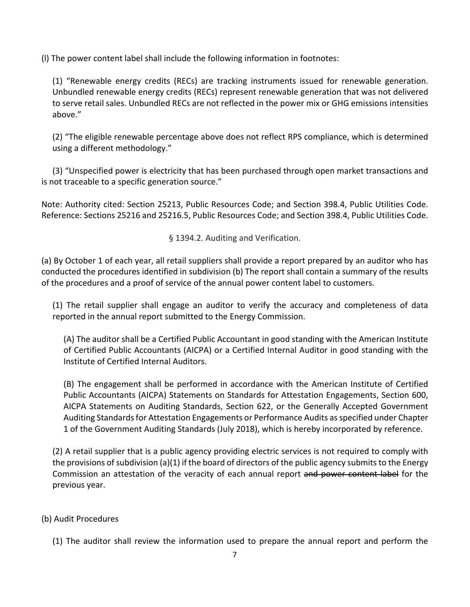(l) The power content label shall include the following information in footnotes:

(1) "Renewable energy credits (RECs) are tracking instruments issued for renewable generation. Unbundled renewable energy credits (RECs) represent renewable generation that was not delivered to serve retail sales. Unbundled RECs are not reflected in the power mix or GHG emissions intensities above."

(2) "The eligible renewable percentage above does not reflect RPS compliance, which is determined using a different methodology."

(3) "Unspecified power is electricity that has been purchased through open market transactions and is not traceable to a specific generation source."

Note: Authority cited: Section 25213, Public Resources Code; and Section 398.4, Public Utilities Code. Reference: Sections 25216 and 25216.5, Public Resources Code; and Section 398.4, Public Utilities Code.

§ 1394.2. Auditing and Verification.

(a) By October 1 of each year, all retail suppliers shall provide a report prepared by an auditor who has conducted the procedures identified in subdivision (b) The report shall contain a summary of the results of the procedures and a proof of service of the annual power content label to customers.

(1) The retail supplier shall engage an auditor to verify the accuracy and completeness of data reported in the annual report submitted to the Energy Commission.

(A) The auditor shall be a Certified Public Accountant in good standing with the American Institute of Certified Public Accountants (AICPA) or a Certified Internal Auditor in good standing with the Institute of Certified Internal Auditors.

(B) The engagement shall be performed in accordance with the American Institute of Certified Public Accountants (AICPA) Statements on Standards for Attestation Engagements, Section 600, AICPA Statements on Auditing Standards, Section 622, or the Generally Accepted Government Auditing Standards for Attestation Engagements or Performance Audits as specified under Chapter 1 of the Government Auditing Standards (July 2018), which is hereby incorporated by reference.

(2) A retail supplier that is a public agency providing electric services is not required to comply with the provisions of subdivision (a)(1) if the board of directors of the public agency submits to the Energy Commission an attestation of the veracity of each annual report and power content label for the previous year.

#### (b) Audit Procedures

(1) The auditor shall review the information used to prepare the annual report and perform the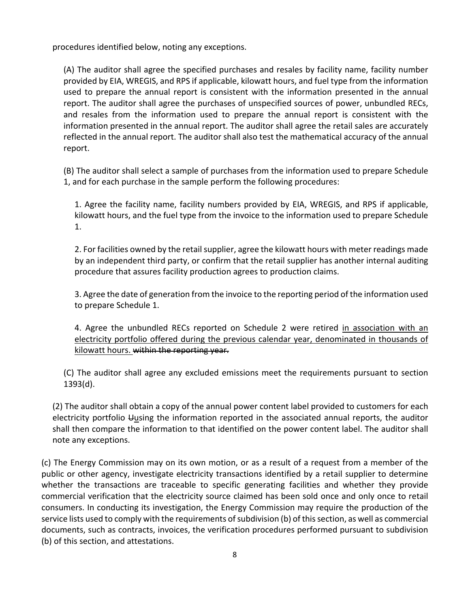procedures identified below, noting any exceptions.

(A) The auditor shall agree the specified purchases and resales by facility name, facility number provided by EIA, WREGIS, and RPS if applicable, kilowatt hours, and fuel type from the information used to prepare the annual report is consistent with the information presented in the annual report. The auditor shall agree the purchases of unspecified sources of power, unbundled RECs, and resales from the information used to prepare the annual report is consistent with the information presented in the annual report. The auditor shall agree the retail sales are accurately reflected in the annual report. The auditor shall also test the mathematical accuracy of the annual report.

(B) The auditor shall select a sample of purchases from the information used to prepare Schedule 1, and for each purchase in the sample perform the following procedures:

1. Agree the facility name, facility numbers provided by EIA, WREGIS, and RPS if applicable, kilowatt hours, and the fuel type from the invoice to the information used to prepare Schedule 1.

2. For facilities owned by the retail supplier, agree the kilowatt hours with meter readings made by an independent third party, or confirm that the retail supplier has another internal auditing procedure that assures facility production agrees to production claims.

3. Agree the date of generation from the invoice to the reporting period of the information used to prepare Schedule 1.

4. Agree the unbundled RECs reported on Schedule 2 were retired in association with an electricity portfolio offered during the previous calendar year, denominated in thousands of kilowatt hours. within the reporting year.

(C) The auditor shall agree any excluded emissions meet the requirements pursuant to section 1393(d).

(2) The auditor shall obtain a copy of the annual power content label provided to customers for each electricity portfolio Uusing the information reported in the associated annual reports, the auditor shall then compare the information to that identified on the power content label. The auditor shall note any exceptions.

(c) The Energy Commission may on its own motion, or as a result of a request from a member of the public or other agency, investigate electricity transactions identified by a retail supplier to determine whether the transactions are traceable to specific generating facilities and whether they provide commercial verification that the electricity source claimed has been sold once and only once to retail consumers. In conducting its investigation, the Energy Commission may require the production of the service lists used to comply with the requirements of subdivision (b) of this section, as well as commercial documents, such as contracts, invoices, the verification procedures performed pursuant to subdivision (b) of this section, and attestations.